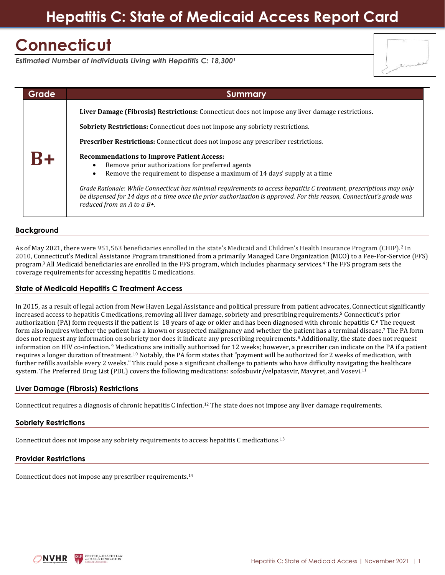# **Hepatitis C: State of Medicaid Access Report Card**

# **Connecticut**

*Estimated Number of Individuals Living with Hepatitis C: 18,300<sup>1</sup>*

| Grade | <b>Summary</b>                                                                                                                                                                                                                                                                                                                                                                                                                                                                                                                                                                                                                                                                                                                                           |
|-------|----------------------------------------------------------------------------------------------------------------------------------------------------------------------------------------------------------------------------------------------------------------------------------------------------------------------------------------------------------------------------------------------------------------------------------------------------------------------------------------------------------------------------------------------------------------------------------------------------------------------------------------------------------------------------------------------------------------------------------------------------------|
|       | Liver Damage (Fibrosis) Restrictions: Connecticut does not impose any liver damage restrictions.<br><b>Sobriety Restrictions:</b> Connecticut does not impose any sobriety restrictions.<br><b>Prescriber Restrictions:</b> Connecticut does not impose any prescriber restrictions.<br><b>Recommendations to Improve Patient Access:</b><br>Remove prior authorizations for preferred agents<br>Remove the requirement to dispense a maximum of 14 days' supply at a time<br>Grade Rationale: While Connecticut has minimal requirements to access hepatitis C treatment, prescriptions may only<br>be dispensed for 14 days at a time once the prior authorization is approved. For this reason, Connecticut's grade was<br>reduced from an A to a B+. |

### **Background**

As of May 2021, there were 951,563 beneficiaries enrolled in the state's Medicaid and Children's Health Insurance Program (CHIP).<sup>2</sup> In 2010, Connecticut's Medical Assistance Program transitioned from a primarily Managed Care Organization (MCO) to a Fee-For-Service (FFS) program.<sup>3</sup> All Medicaid beneficiaries are enrolled in the FFS program, which includes pharmacy services.<sup>4</sup> The FFS program sets the coverage requirements for accessing hepatitis C medications.

### **State of Medicaid Hepatitis C Treatment Access**

In 2015, as a result of legal action from New Haven Legal Assistance and political pressure from patient advocates, Connecticut significantly increased access to hepatitis C medications, removing all liver damage, sobriety and prescribing requirements.<sup>5</sup> Connecticut's prior authorization (PA) form requests if the patient is 18 years of age or older and has been diagnosed with chronic hepatitis C.<sup>6</sup> The request form also inquires whether the patient has a known or suspected malignancy and whether the patient has a terminal disease.<sup>7</sup> The PA form does not request any information on sobriety nor does it indicate any prescribing requirements.<sup>8</sup> Additionally, the state does not request information on HIV co-infection.<sup>9</sup> Medications are initially authorized for 12 weeks; however, a prescriber can indicate on the PA if a patient requires a longer duration of treatment.<sup>10</sup> Notably, the PA form states that "payment will be authorized for 2 weeks of medication, with further refills available every 2 weeks." This could pose a significant challenge to patients who have difficulty navigating the healthcare system. The Preferred Drug List (PDL) covers the following medications: sofosbuvir/velpatasvir, Mavyret, and Vosevi.<sup>11</sup>

### **Liver Damage (Fibrosis) Restrictions**

Connecticut requires a diagnosis of chronic hepatitis C infection.<sup>12</sup> The state does not impose any liver damage requirements.

#### **Sobriety Restrictions**

Connecticut does not impose any sobriety requirements to access hepatitis C medications.<sup>13</sup>

### **Provider Restrictions**

Connecticut does not impose any prescriber requirements.14